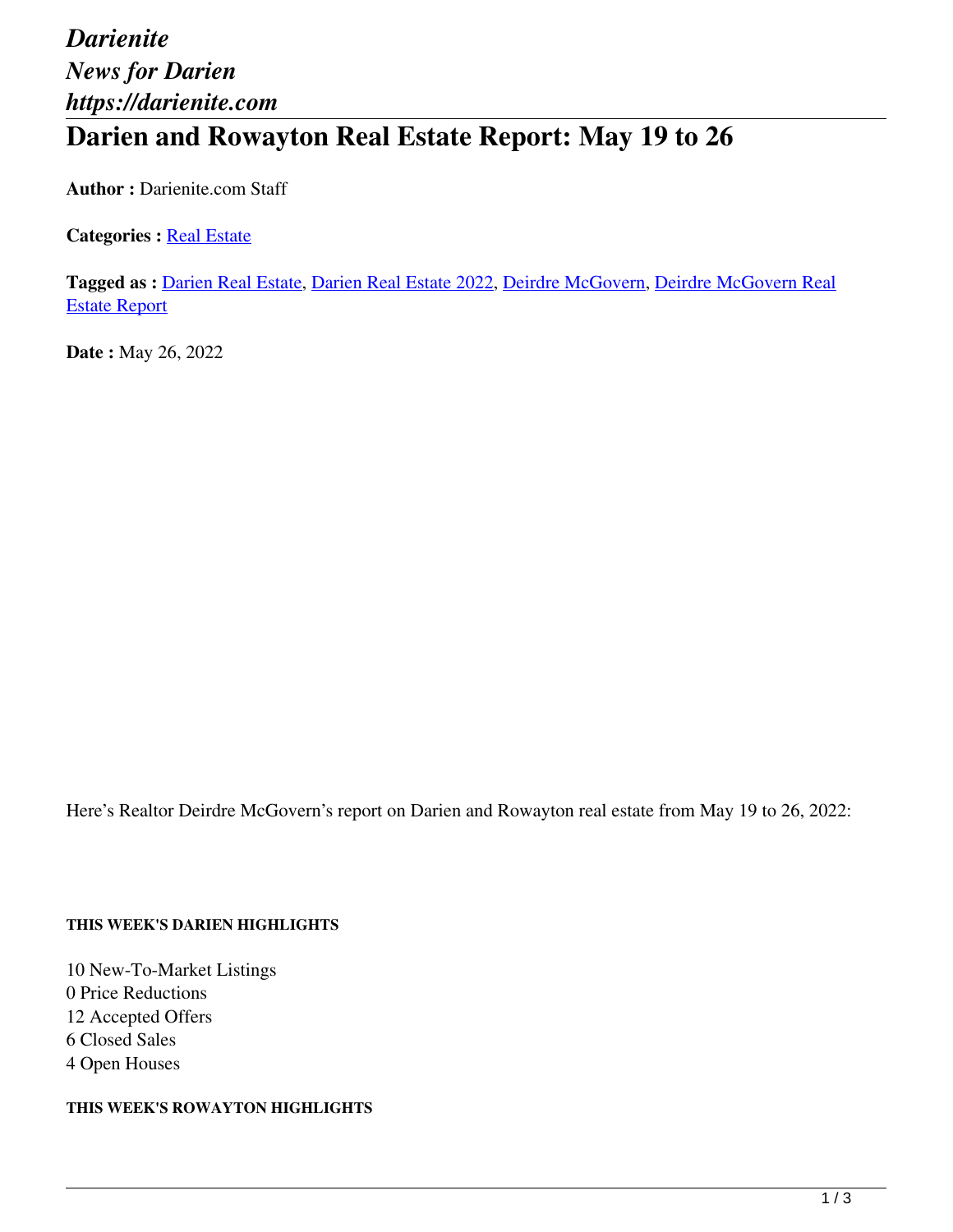# *Darienite News for Darien https://darienite.com* **Darien and Rowayton Real Estate Report: May 19 to 26**

**Author :** Darienite.com Staff

**Categories : [Real Estate](https://darienite.com/category/real-estate)** 

**Tagged as :** Darien Real Estate, Darien Real Estate 2022, Deirdre McGovern, Deirdre McGovern Real Estate Report

**Date :** May 26, 2022

Here's Realtor Deirdre McGovern's report on Darien and Rowayton real estate from May 19 to 26, 2022:

#### **THIS WEEK'S DARIEN HIGHLIGHTS**

10 New-To-Market Listings 0 Price Reductions 12 Accepted Offers 6 Closed Sales 4 Open Houses

**THIS WEEK'S ROWAYTON HIGHLIGHTS**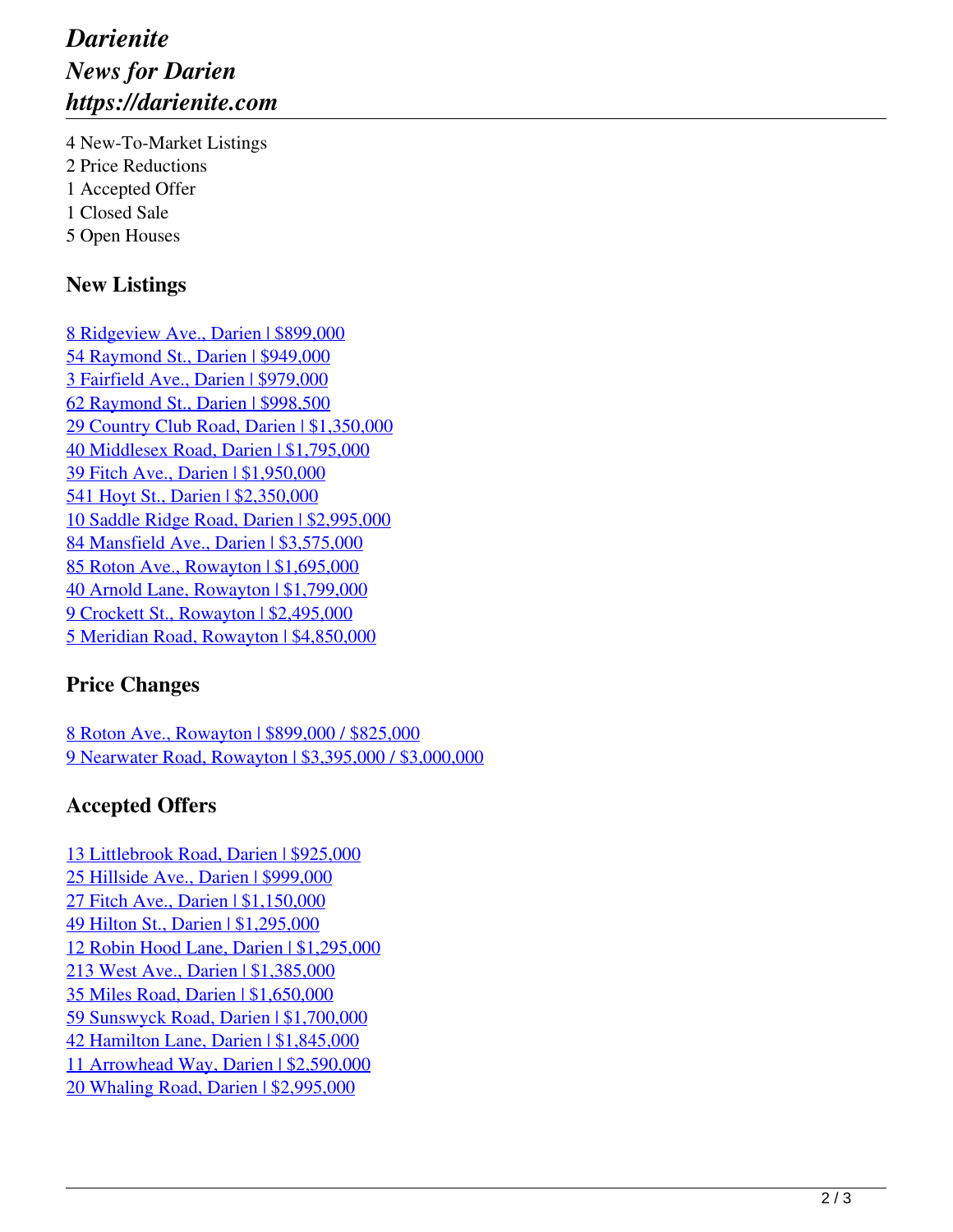# *Darienite News for Darien https://darienite.com*

4 New-To-Market Listings 2 Price Reductions 1 Accepted Offer 1 Closed Sale 5 Open Houses

### **New Listings**

8 Ridgeview Ave., Darien | \$899,000 54 Raymond St., Darien | \$949,000 3 Fairfield Ave., Darien | \$979,000 62 Raymond St., Darien | \$998,500 29 Country Club Road, Darien | \$1,350,000 40 Middlesex Road, Darien | \$1,795,000 39 Fitch Ave., Darien | \$1,950,000 541 Hoyt St., Darien | \$2,350,000 10 Saddle Ridge Road, Darien | \$2,995,000 84 Mansfield Ave., Darien | \$3,575,000 85 Roton Ave., Rowayton | \$1,695,000 40 Arnold Lane, Rowayton | \$1,799,000 9 Crockett St., Rowayton | \$2,495,000 5 Meridian Road, Rowayton | \$4,850,000

#### **Price Changes**

8 Roton Ave., Rowayton | \$899,000 / \$825,000 9 Nearwater Road, Rowayton | \$3,395,000 / \$3,000,000

### **Accepted Offers**

13 Littlebrook Road, Darien | \$925,000 25 Hillside Ave., Darien | \$999,000 27 Fitch Ave., Darien | \$1,150,000 49 Hilton St., Darien | \$1,295,000 12 Robin Hood Lane, Darien | \$1,295,000 213 West Ave., Darien | \$1,385,000 35 Miles Road, Darien | \$1,650,000 59 Sunswyck Road, Darien | \$1,700,000 42 Hamilton Lane, Darien | \$1,845,000 11 Arrowhead Way, Darien | \$2,590,000 20 Whaling Road, Darien | \$2,995,000